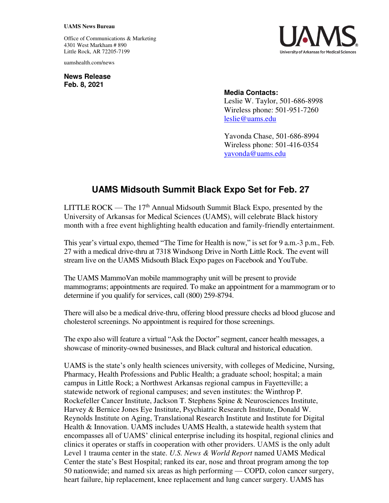## **UAMS News Bureau**

Office of Communications & Marketing 4301 West Markham # 890 Little Rock, AR 72205-7199

uamshealth.com/news

**News Release Feb. 8, 2021**



## **Media Contacts:**

Leslie W. Taylor, 501-686-8998 Wireless phone: 501-951-7260 [leslie@uams.edu](mailto:leslie@uams.edu)

Yavonda Chase, 501-686-8994 Wireless phone: 501-416-0354 [yavonda@uams.edu](mailto:yavonda@uams.edu) 

## **UAMS Midsouth Summit Black Expo Set for Feb. 27**

LITTLE ROCK — The  $17<sup>th</sup>$  Annual Midsouth Summit Black Expo, presented by the University of Arkansas for Medical Sciences (UAMS), will celebrate Black history month with a free event highlighting health education and family-friendly entertainment.

This year's virtual expo, themed "The Time for Health is now," is set for 9 a.m.-3 p.m., Feb. 27 with a medical drive-thru at 7318 Windsong Drive in North Little Rock. The event will stream live on the UAMS Midsouth Black Expo pages on Facebook and YouTube.

The UAMS MammoVan mobile mammography unit will be present to provide mammograms; appointments are required. To make an appointment for a mammogram or to determine if you qualify for services, call (800) 259-8794.

There will also be a medical drive-thru, offering blood pressure checks ad blood glucose and cholesterol screenings. No appointment is required for those screenings.

The expo also will feature a virtual "Ask the Doctor" segment, cancer health messages, a showcase of minority-owned businesses, and Black cultural and historical education.

UAMS is the state's only health sciences university, with colleges of Medicine, Nursing, Pharmacy, Health Professions and Public Health; a graduate school; hospital; a main campus in Little Rock; a Northwest Arkansas regional campus in Fayetteville; a statewide network of regional campuses; and seven institutes: the Winthrop P. Rockefeller Cancer Institute, Jackson T. Stephens Spine & Neurosciences Institute, Harvey & Bernice Jones Eye Institute, Psychiatric Research Institute, Donald W. Reynolds Institute on Aging, Translational Research Institute and Institute for Digital Health & Innovation. UAMS includes UAMS Health, a statewide health system that encompasses all of UAMS' clinical enterprise including its hospital, regional clinics and clinics it operates or staffs in cooperation with other providers. UAMS is the only adult Level 1 trauma center in the state. *U.S. News & World Report* named UAMS Medical Center the state's Best Hospital; ranked its ear, nose and throat program among the top 50 nationwide; and named six areas as high performing — COPD, colon cancer surgery, heart failure, hip replacement, knee replacement and lung cancer surgery. UAMS has